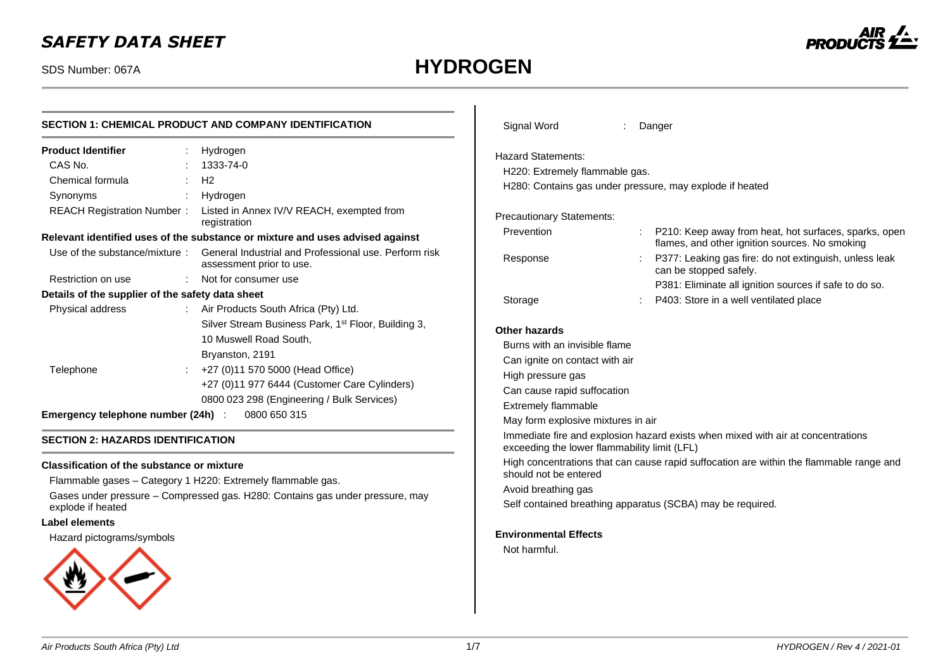### *SAFETY DATA SHEET*

# SDS Number: 067A **HYDROGEN**

 $\mathbf{I}$ 



|                                                                      | <b>SECTION 1: CHEMICAL PRODUCT AND COMPANY IDENTIFICATION</b>                                                                                                                                                                                                  | Signal Word                                                                                                                                                                                              |  | Danger                                                                        |
|----------------------------------------------------------------------|----------------------------------------------------------------------------------------------------------------------------------------------------------------------------------------------------------------------------------------------------------------|----------------------------------------------------------------------------------------------------------------------------------------------------------------------------------------------------------|--|-------------------------------------------------------------------------------|
| <b>Product Identifier</b><br>CAS No.<br>Chemical formula<br>Synonyms | Hydrogen<br>1333-74-0<br>$\pm$ H <sub>2</sub><br>Hydrogen<br>REACH Registration Number: Listed in Annex IV/V REACH, exempted from<br>registration                                                                                                              | <b>Hazard Statements:</b><br>H220: Extremely flammable gas.<br><b>Precautionary Statements:</b>                                                                                                          |  | H280: Contains gas under pressure, may explode if heated                      |
|                                                                      | Relevant identified uses of the substance or mixture and uses advised against<br>Use of the substance/mixture: General Industrial and Professional use. Perform risk                                                                                           | Prevention                                                                                                                                                                                               |  | P210: Keep away from heat, hot sure<br>flames, and other ignition sources. I  |
| Restriction on use                                                   | assessment prior to use.<br>Not for consumer use                                                                                                                                                                                                               | Response                                                                                                                                                                                                 |  | P377: Leaking gas fire: do not exting<br>can be stopped safely.               |
| Details of the supplier of the safety data sheet<br>Physical address | : Air Products South Africa (Pty) Ltd.                                                                                                                                                                                                                         | Storage                                                                                                                                                                                                  |  | P381: Eliminate all ignition sources<br>P403: Store in a well ventilated plac |
| Telephone<br>Emergency telephone number (24h) :                      | Silver Stream Business Park, 1 <sup>st</sup> Floor, Building 3,<br>10 Muswell Road South.<br>Bryanston, 2191<br>+27 (0)11 570 5000 (Head Office)<br>+27 (0)11 977 6444 (Customer Care Cylinders)<br>0800 023 298 (Engineering / Bulk Services)<br>0800 650 315 | Other hazards<br>Burns with an invisible flame<br>Can ignite on contact with air<br>High pressure gas<br>Can cause rapid suffocation<br><b>Extremely flammable</b><br>May form explosive mixtures in air |  |                                                                               |
| <b>SECTION 2: HAZARDS IDENTIFICATION</b>                             |                                                                                                                                                                                                                                                                | Immediate fire and explosion hazard exists when mixed with air at cor<br>exceeding the lower flammability limit (LFL)                                                                                    |  |                                                                               |
|                                                                      |                                                                                                                                                                                                                                                                |                                                                                                                                                                                                          |  | High concontrations that can cause rapid ouffecation are within the fla       |

#### **Classification of the substance or mixture**

Flammable gases – Category 1 H220: Extremely flammable gas. Gases under pressure – Compressed gas. H280: Contains gas under pressure, may explode if heated

#### **Label elements**

Hazard pictograms/symbols



| Prevention                                   |   | P210: Keep away from heat, hot surfaces, sparks, open<br>flames, and other ignition sources. No smoking |
|----------------------------------------------|---|---------------------------------------------------------------------------------------------------------|
| Response                                     |   | P377: Leaking gas fire: do not extinguish, unless leak<br>can be stopped safely.                        |
|                                              |   | P381: Eliminate all ignition sources if safe to do so.                                                  |
| Storage                                      | ÷ | P403: Store in a well ventilated place                                                                  |
| Other hazards                                |   |                                                                                                         |
| Burns with an invisible flame                |   |                                                                                                         |
| Can ignite on contact with air               |   |                                                                                                         |
| High pressure gas                            |   |                                                                                                         |
| Can cause rapid suffocation                  |   |                                                                                                         |
| <b>Extremely flammable</b>                   |   |                                                                                                         |
| May form explosive mixtures in air           |   |                                                                                                         |
| exceeding the lower flammability limit (LFL) |   | Immediate fire and explosion hazard exists when mixed with air at concentrations                        |
| should not be entered                        |   | High concentrations that can cause rapid suffocation are within the flammable range and                 |
| Avoid breathing gas                          |   |                                                                                                         |
|                                              |   | Self contained breathing apparatus (SCBA) may be required.                                              |
| <b>Environmental Effects</b>                 |   |                                                                                                         |
| Not harmful.                                 |   |                                                                                                         |
|                                              |   |                                                                                                         |
|                                              |   |                                                                                                         |
|                                              |   |                                                                                                         |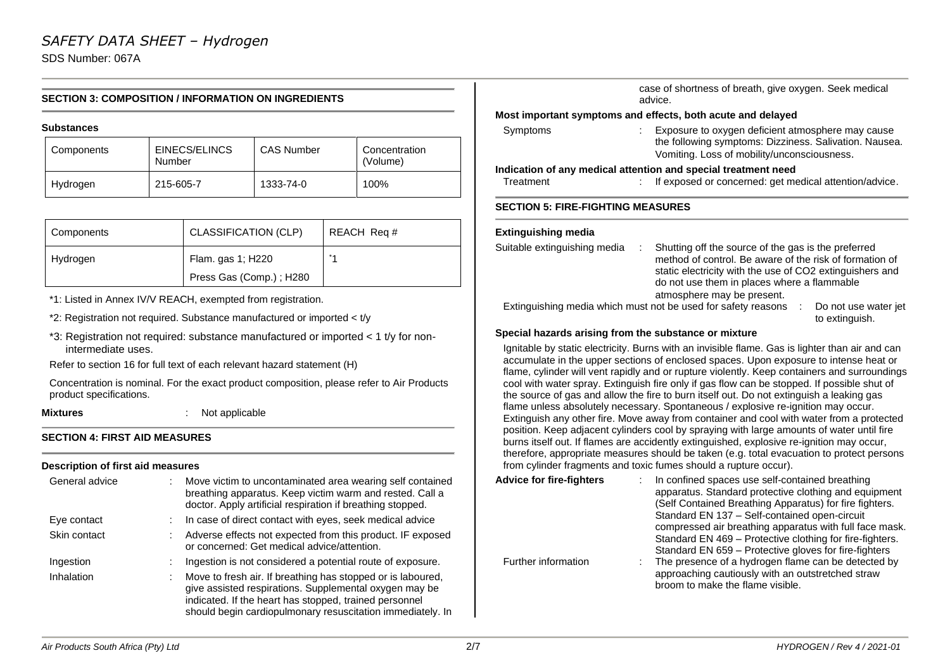SDS Number: 067A

#### **SECTION 3: COMPOSITION / INFORMATION ON INGREDIENTS**

#### **Substances**

| Components | EINECS/ELINCS<br>Number | <b>CAS Number</b> | Concentration<br>(Volume) |
|------------|-------------------------|-------------------|---------------------------|
| Hydrogen   | 215-605-7               | 1333-74-0         | 100%                      |

| Components | <b>CLASSIFICATION (CLP)</b> | REACH Req # |
|------------|-----------------------------|-------------|
| Hydrogen   | Flam. gas 1; H220           |             |
|            | Press Gas (Comp.); H280     |             |

\*1: Listed in Annex IV/V REACH, exempted from registration.

\*2: Registration not required. Substance manufactured or imported < t/y

\*3: Registration not required: substance manufactured or imported < 1 t/y for nonintermediate uses.

Refer to section 16 for full text of each relevant hazard statement (H)

Concentration is nominal. For the exact product composition, please refer to Air Products product specifications.

**Mixtures** : Not applicable

#### **SECTION 4: FIRST AID MEASURES**

#### **Description of first aid measures**

| General advice | Move victim to uncontaminated area wearing self contained<br>breathing apparatus. Keep victim warm and rested. Call a<br>doctor. Apply artificial respiration if breathing stopped.                                                           |
|----------------|-----------------------------------------------------------------------------------------------------------------------------------------------------------------------------------------------------------------------------------------------|
| Eye contact    | In case of direct contact with eyes, seek medical advice                                                                                                                                                                                      |
| Skin contact   | Adverse effects not expected from this product. IF exposed<br>or concerned: Get medical advice/attention.                                                                                                                                     |
| Ingestion      | Ingestion is not considered a potential route of exposure.                                                                                                                                                                                    |
| Inhalation     | Move to fresh air. If breathing has stopped or is laboured,<br>give assisted respirations. Supplemental oxygen may be<br>indicated. If the heart has stopped, trained personnel<br>should begin cardiopulmonary resuscitation immediately. In |

|                                          | case of shortness of breath, give oxygen. Seek medical<br>advice.                                                                                          |
|------------------------------------------|------------------------------------------------------------------------------------------------------------------------------------------------------------|
|                                          | Most important symptoms and effects, both acute and delayed                                                                                                |
| Symptoms                                 | Exposure to oxygen deficient atmosphere may cause<br>the following symptoms: Dizziness. Salivation. Nausea.<br>Vomiting. Loss of mobility/unconsciousness. |
|                                          | Indication of any medical attention and special treatment need                                                                                             |
| Treatment                                | If exposed or concerned: get medical attention/advice.                                                                                                     |
| <b>SECTION 5: FIRE-FIGHTING MEASURES</b> |                                                                                                                                                            |
| <b>Extinguishing media</b>               |                                                                                                                                                            |
| Suitable extinguishing media             | Shutting off the source of the gas is the preferred<br>÷<br>method of control. Be aware of the risk of formation of                                        |

|                                                               | method of control. Be aware of the risk of formation of<br>static electricity with the use of CO2 extinguishers and |                                        |
|---------------------------------------------------------------|---------------------------------------------------------------------------------------------------------------------|----------------------------------------|
|                                                               | do not use them in places where a flammable<br>atmosphere may be present.                                           |                                        |
| Extinguishing media which must not be used for safety reasons |                                                                                                                     | Do not use water jet<br>to extinguish. |

#### **Special hazards arising from the substance or mixture**

Ignitable by static electricity. Burns with an invisible flame. Gas is lighter than air and can accumulate in the upper sections of enclosed spaces. Upon exposure to intense heat or flame, cylinder will vent rapidly and or rupture violently. Keep containers and surroundings cool with water spray. Extinguish fire only if gas flow can be stopped. If possible shut of the source of gas and allow the fire to burn itself out. Do not extinguish a leaking gas flame unless absolutely necessary. Spontaneous / explosive re-ignition may occur. Extinguish any other fire. Move away from container and cool with water from a protected position. Keep adjacent cylinders cool by spraying with large amounts of water until fire burns itself out. If flames are accidently extinguished, explosive re-ignition may occur, therefore, appropriate measures should be taken (e.g. total evacuation to protect persons from cylinder fragments and toxic fumes should a rupture occur).

| <b>Advice for fire-fighters</b> | In confined spaces use self-contained breathing<br>apparatus. Standard protective clothing and equipment<br>(Self Contained Breathing Apparatus) for fire fighters.<br>Standard EN 137 - Self-contained open-circuit                                                                                                         |
|---------------------------------|------------------------------------------------------------------------------------------------------------------------------------------------------------------------------------------------------------------------------------------------------------------------------------------------------------------------------|
| Further information             | compressed air breathing apparatus with full face mask.<br>Standard EN 469 – Protective clothing for fire-fighters.<br>Standard EN 659 - Protective gloves for fire-fighters<br>The presence of a hydrogen flame can be detected by<br>approaching cautiously with an outstretched straw<br>broom to make the flame visible. |

 $\overline{\phantom{a}}$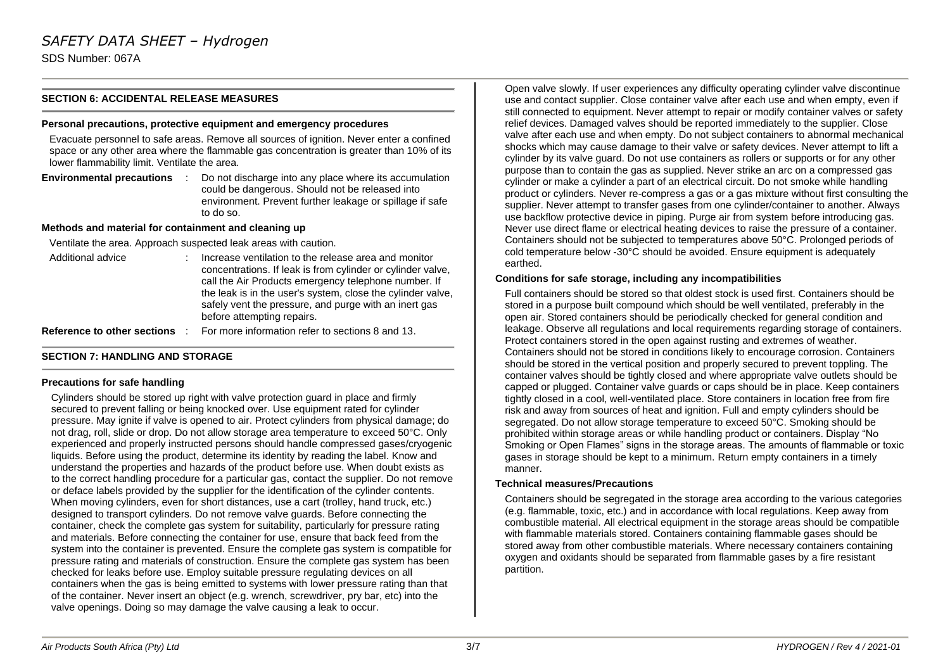SDS Number: 067A

#### **SECTION 6: ACCIDENTAL RELEASE MEASURES**

#### **Personal precautions, protective equipment and emergency procedures**

Evacuate personnel to safe areas. Remove all sources of ignition. Never enter a confined space or any other area where the flammable gas concentration is greater than 10% of its lower flammability limit. Ventilate the area.

**Environmental precautions** : Do not discharge into any place where its accumulation could be dangerous. Should not be released into environment. Prevent further leakage or spillage if safe to do so.

#### **Methods and material for containment and cleaning up**

Ventilate the area. Approach suspected leak areas with caution.

Additional advice : Increase ventilation to the release area and monitor concentrations. If leak is from cylinder or cylinder valve, call the Air Products emergency telephone number. If the leak is in the user's system, close the cylinder valve, safely vent the pressure, and purge with an inert gas before attempting repairs.

**Reference to other sections** : For more information refer to sections 8 and 13.

#### **SECTION 7: HANDLING AND STORAGE**

#### **Precautions for safe handling**

Cylinders should be stored up right with valve protection guard in place and firmly secured to prevent falling or being knocked over. Use equipment rated for cylinder pressure. May ignite if valve is opened to air. Protect cylinders from physical damage; do not drag, roll, slide or drop. Do not allow storage area temperature to exceed 50°C. Only experienced and properly instructed persons should handle compressed gases/cryogenic liquids. Before using the product, determine its identity by reading the label. Know and understand the properties and hazards of the product before use. When doubt exists as to the correct handling procedure for a particular gas, contact the supplier. Do not remove or deface labels provided by the supplier for the identification of the cylinder contents. When moving cylinders, even for short distances, use a cart (trolley, hand truck, etc.) designed to transport cylinders. Do not remove valve guards. Before connecting the container, check the complete gas system for suitability, particularly for pressure rating and materials. Before connecting the container for use, ensure that back feed from the system into the container is prevented. Ensure the complete gas system is compatible for pressure rating and materials of construction. Ensure the complete gas system has been checked for leaks before use. Employ suitable pressure regulating devices on all containers when the gas is being emitted to systems with lower pressure rating than that of the container. Never insert an object (e.g. wrench, screwdriver, pry bar, etc) into the valve openings. Doing so may damage the valve causing a leak to occur.

Open valve slowly. If user experiences any difficulty operating cylinder valve discontinue use and contact supplier. Close container valve after each use and when empty, even if still connected to equipment. Never attempt to repair or modify container valves or safety relief devices. Damaged valves should be reported immediately to the supplier. Close valve after each use and when empty. Do not subject containers to abnormal mechanical shocks which may cause damage to their valve or safety devices. Never attempt to lift a cylinder by its valve guard. Do not use containers as rollers or supports or for any other purpose than to contain the gas as supplied. Never strike an arc on a compressed gas cylinder or make a cylinder a part of an electrical circuit. Do not smoke while handling product or cylinders. Never re-compress a gas or a gas mixture without first consulting the supplier. Never attempt to transfer gases from one cylinder/container to another. Always use backflow protective device in piping. Purge air from system before introducing gas. Never use direct flame or electrical heating devices to raise the pressure of a container. Containers should not be subjected to temperatures above 50°C. Prolonged periods of cold temperature below -30°C should be avoided. Ensure equipment is adequately earthed.

#### **Conditions for safe storage, including any incompatibilities**

Full containers should be stored so that oldest stock is used first. Containers should be stored in a purpose built compound which should be well ventilated, preferably in the open air. Stored containers should be periodically checked for general condition and leakage. Observe all regulations and local requirements regarding storage of containers. Protect containers stored in the open against rusting and extremes of weather. Containers should not be stored in conditions likely to encourage corrosion. Containers should be stored in the vertical position and properly secured to prevent toppling. The container valves should be tightly closed and where appropriate valve outlets should be capped or plugged. Container valve guards or caps should be in place. Keep containers tightly closed in a cool, well-ventilated place. Store containers in location free from fire risk and away from sources of heat and ignition. Full and empty cylinders should be segregated. Do not allow storage temperature to exceed 50°C. Smoking should be prohibited within storage areas or while handling product or containers. Display "No Smoking or Open Flames" signs in the storage areas. The amounts of flammable or toxic gases in storage should be kept to a minimum. Return empty containers in a timely manner.

#### **Technical measures/Precautions**

Containers should be segregated in the storage area according to the various categories (e.g. flammable, toxic, etc.) and in accordance with local regulations. Keep away from combustible material. All electrical equipment in the storage areas should be compatible with flammable materials stored. Containers containing flammable gases should be stored away from other combustible materials. Where necessary containers containing oxygen and oxidants should be separated from flammable gases by a fire resistant partition.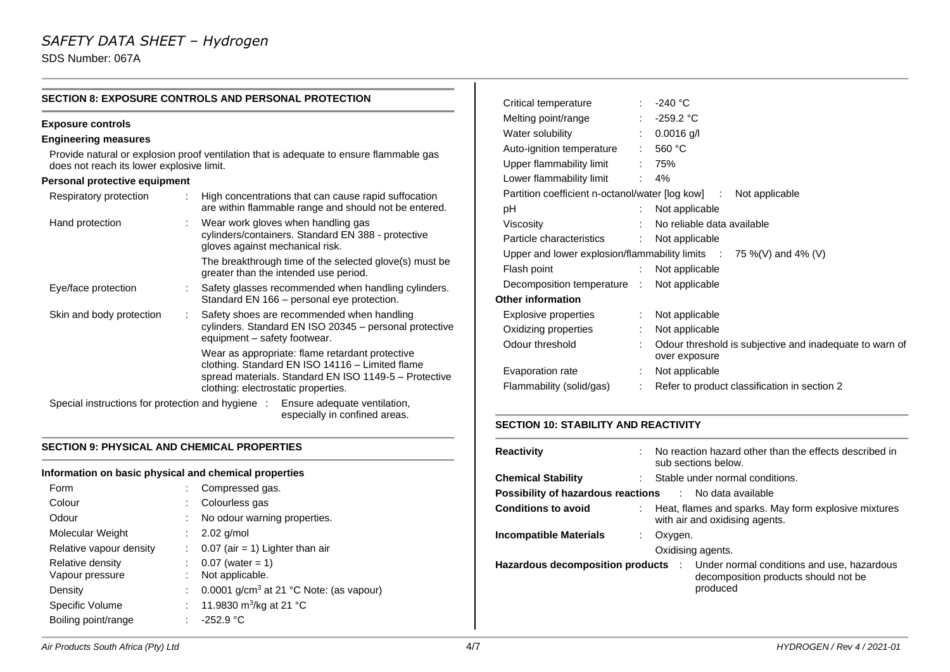### *SAFETY DATA SHEET – Hydrogen*

SDS Number: 067A

|                                           | <b>SECTION 8: EXPOSURE CONTROLS AND PERSONAL PROTECTION</b>                                                                                                                                        |
|-------------------------------------------|----------------------------------------------------------------------------------------------------------------------------------------------------------------------------------------------------|
| <b>Exposure controls</b>                  |                                                                                                                                                                                                    |
| <b>Engineering measures</b>               |                                                                                                                                                                                                    |
| does not reach its lower explosive limit. | Provide natural or explosion proof ventilation that is adequate to ensure flammable gas                                                                                                            |
| Personal protective equipment             |                                                                                                                                                                                                    |
| Respiratory protection                    | High concentrations that can cause rapid suffocation<br>are within flammable range and should not be entered.                                                                                      |
| Hand protection                           | Wear work gloves when handling gas<br>cylinders/containers. Standard EN 388 - protective<br>gloves against mechanical risk.                                                                        |
|                                           | The breakthrough time of the selected glove(s) must be<br>greater than the intended use period.                                                                                                    |
| Eye/face protection                       | Safety glasses recommended when handling cylinders.<br>Standard EN 166 - personal eye protection.                                                                                                  |
| Skin and body protection                  | Safety shoes are recommended when handling<br>÷<br>cylinders. Standard EN ISO 20345 - personal protective<br>equipment – safety footwear.                                                          |
|                                           | Wear as appropriate: flame retardant protective<br>clothing. Standard EN ISO 14116 - Limited flame<br>spread materials. Standard EN ISO 1149-5 - Protective<br>clothing: electrostatic properties. |
|                                           | Special instructions for protection and hygiene : Ensure adequate ventilation,<br>especially in confined areas.                                                                                    |

#### **SECTION 9: PHYSICAL AND CHEMICAL PROPERTIES**

#### **Information on basic physical and chemical properties**

| Form                    |   | Compressed gas.                                     |
|-------------------------|---|-----------------------------------------------------|
| Colour                  |   | Colourless gas                                      |
| Odour                   |   | No odour warning properties.                        |
| Molecular Weight        |   | $2.02$ g/mol                                        |
| Relative vapour density |   | $0.07$ (air = 1) Lighter than air                   |
| Relative density        |   | $0.07$ (water = 1)                                  |
| Vapour pressure         |   | Not applicable.                                     |
| Density                 |   | 0.0001 g/cm <sup>3</sup> at 21 °C Note: (as vapour) |
| Specific Volume         |   | 11.9830 m <sup>3</sup> /kg at 21 °C                 |
| Boiling point/range     | t | $-252.9 °C$                                         |

| Critical temperature        |                              | -240 °C                                                                       |
|-----------------------------|------------------------------|-------------------------------------------------------------------------------|
| Melting point/range         |                              | $\therefore$ -259.2 °C                                                        |
| Water solubility            |                              | $0.0016$ g/l                                                                  |
| Auto-ignition temperature   | $\mathbb{Z}^{\mathbb{Z}}$ .  | 560 $°C$                                                                      |
| Upper flammability limit    |                              | : 75%                                                                         |
| Lower flammability limit    |                              | $\frac{1}{2}$ 4%                                                              |
|                             |                              | Partition coefficient n-octanol/water [log kow] : Not applicable              |
| рH                          |                              | Not applicable                                                                |
| Viscosity                   | ÷.                           | No reliable data available                                                    |
| Particle characteristics    | $\mathcal{L}_{\mathrm{max}}$ | Not applicable                                                                |
|                             |                              | Upper and lower explosion/flammability limits $\therefore$ 75 %(V) and 4% (V) |
| Flash point                 | $\mathcal{L}_{\mathcal{A}}$  | Not applicable                                                                |
| Decomposition temperature : |                              | Not applicable                                                                |
| <b>Other information</b>    |                              |                                                                               |
| Explosive properties        | $\mathbb{R}^{\mathbb{Z}}$    | Not applicable                                                                |
| Oxidizing properties        | ÷                            | Not applicable                                                                |
| Odour threshold             | ÷                            | Odour threshold is subjective and inadequate to warn of<br>over exposure      |
| Evaporation rate            |                              | Not applicable                                                                |
| Flammability (solid/gas)    | ÷                            | Refer to product classification in section 2                                  |
|                             |                              |                                                                               |

### **SECTION 10: STABILITY AND REACTIVITY**

| <b>Reactivity</b>                                                     | No reaction hazard other than the effects described in<br>sub sections below.                  |
|-----------------------------------------------------------------------|------------------------------------------------------------------------------------------------|
| <b>Chemical Stability</b>                                             | : Stable under normal conditions.                                                              |
| <b>Possibility of hazardous reactions Fig. 2.1. No data available</b> |                                                                                                |
| <b>Conditions to avoid</b>                                            | Heat, flames and sparks. May form explosive mixtures<br>with air and oxidising agents.         |
| <b>Incompatible Materials</b><br>÷.                                   | Oxygen.<br>Oxidising agents.                                                                   |
| Hazardous decomposition products :                                    | Under normal conditions and use, hazardous<br>decomposition products should not be<br>produced |

 $\overline{1}$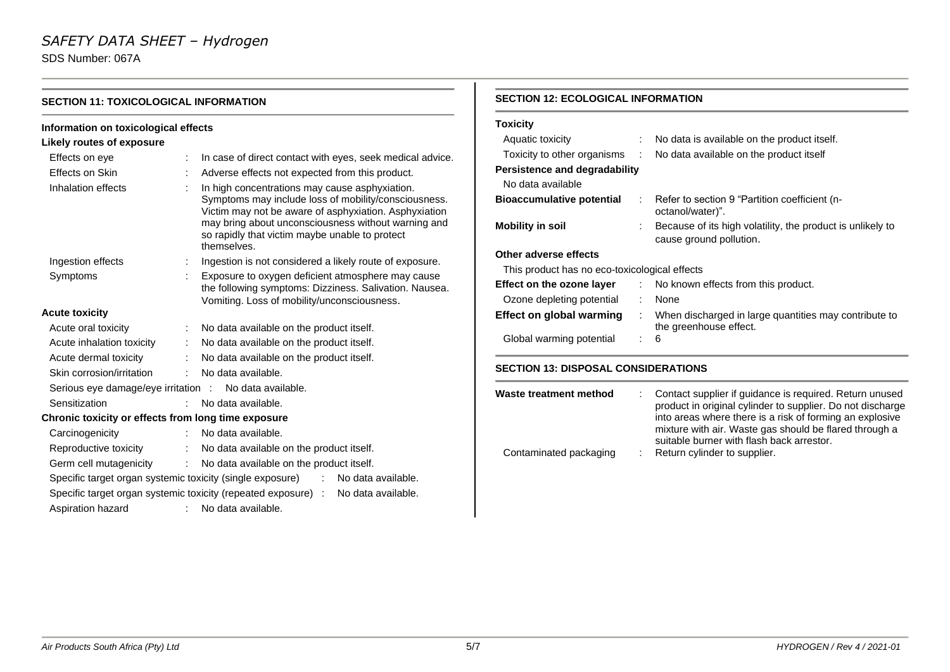### *SAFETY DATA SHEET – Hydrogen*

SDS Number: 067A

| Information on toxicological effects                   |                              |                                                                                                                                                                                                                                                                                         |  |  |  |
|--------------------------------------------------------|------------------------------|-----------------------------------------------------------------------------------------------------------------------------------------------------------------------------------------------------------------------------------------------------------------------------------------|--|--|--|
| Likely routes of exposure                              |                              |                                                                                                                                                                                                                                                                                         |  |  |  |
| Effects on eye                                         |                              | In case of direct contact with eyes, seek medical advice.                                                                                                                                                                                                                               |  |  |  |
| Effects on Skin                                        |                              | Adverse effects not expected from this product.                                                                                                                                                                                                                                         |  |  |  |
| Inhalation effects                                     |                              | In high concentrations may cause asphyxiation.<br>Symptoms may include loss of mobility/consciousness.<br>Victim may not be aware of asphyxiation. Asphyxiation<br>may bring about unconsciousness without warning and<br>so rapidly that victim maybe unable to protect<br>themselves. |  |  |  |
| Ingestion effects                                      |                              | Ingestion is not considered a likely route of exposure.                                                                                                                                                                                                                                 |  |  |  |
| Symptoms                                               |                              | Exposure to oxygen deficient atmosphere may cause<br>the following symptoms: Dizziness. Salivation. Nausea.<br>Vomiting. Loss of mobility/unconsciousness.                                                                                                                              |  |  |  |
| <b>Acute toxicity</b>                                  |                              |                                                                                                                                                                                                                                                                                         |  |  |  |
| Acute oral toxicity                                    |                              | No data available on the product itself.                                                                                                                                                                                                                                                |  |  |  |
| Acute inhalation toxicity                              |                              | No data available on the product itself.                                                                                                                                                                                                                                                |  |  |  |
| Acute dermal toxicity                                  | $\mathcal{L}_{\mathrm{max}}$ | No data available on the product itself.                                                                                                                                                                                                                                                |  |  |  |
| Skin corrosion/irritation                              | $\sim$                       | No data available.                                                                                                                                                                                                                                                                      |  |  |  |
| Serious eye damage/eye irritation : No data available. |                              |                                                                                                                                                                                                                                                                                         |  |  |  |
| Sensitization                                          | $\mathbb{R}^{\mathbb{Z}}$    | No data available.                                                                                                                                                                                                                                                                      |  |  |  |
| Chronic toxicity or effects from long time exposure    |                              |                                                                                                                                                                                                                                                                                         |  |  |  |
| Carcinogenicity                                        | t.                           | No data available.                                                                                                                                                                                                                                                                      |  |  |  |
| Reproductive toxicity                                  | $\mathbb{R}^n$               | No data available on the product itself.                                                                                                                                                                                                                                                |  |  |  |
| Germ cell mutagenicity                                 |                              | : No data available on the product itself.                                                                                                                                                                                                                                              |  |  |  |
|                                                        |                              | Specific target organ systemic toxicity (single exposure) : No data available.                                                                                                                                                                                                          |  |  |  |
|                                                        |                              | Specific target organ systemic toxicity (repeated exposure) : No data available.                                                                                                                                                                                                        |  |  |  |
| Aspiration hazard                                      | t.                           | No data available.                                                                                                                                                                                                                                                                      |  |  |  |

#### **SECTION 12: ECOLOGICAL INFORMATION**

| <b>Toxicity</b>                               |        |                                                                                       |  |  |  |
|-----------------------------------------------|--------|---------------------------------------------------------------------------------------|--|--|--|
| Aquatic toxicity                              |        | No data is available on the product itself.                                           |  |  |  |
| Toxicity to other organisms                   | $\sim$ | No data available on the product itself                                               |  |  |  |
| Persistence and degradability                 |        |                                                                                       |  |  |  |
| No data available                             |        |                                                                                       |  |  |  |
| <b>Bioaccumulative potential</b>              |        | $\therefore$ Refer to section 9 "Partition coefficient (n-<br>octanol/water)".        |  |  |  |
| <b>Mobility in soil</b>                       |        | Because of its high volatility, the product is unlikely to<br>cause ground pollution. |  |  |  |
| Other adverse effects                         |        |                                                                                       |  |  |  |
| This product has no eco-toxicological effects |        |                                                                                       |  |  |  |
| Effect on the ozone layer                     |        | : No known effects from this product.                                                 |  |  |  |
| Ozone depleting potential                     | ÷.     | None                                                                                  |  |  |  |
| Effect on global warming                      | ÷      | When discharged in large quantities may contribute to<br>the greenhouse effect.       |  |  |  |
| Global warming potential                      |        | 6                                                                                     |  |  |  |

#### **SECTION 13: DISPOSAL CONSIDERATIONS**

| Waste treatment method | : Contact supplier if guidance is required. Return unused<br>product in original cylinder to supplier. Do not discharge<br>into areas where there is a risk of forming an explosive<br>mixture with air. Waste gas should be flared through a<br>suitable burner with flash back arrestor. |
|------------------------|--------------------------------------------------------------------------------------------------------------------------------------------------------------------------------------------------------------------------------------------------------------------------------------------|
| Contaminated packaging | : Return cylinder to supplier.                                                                                                                                                                                                                                                             |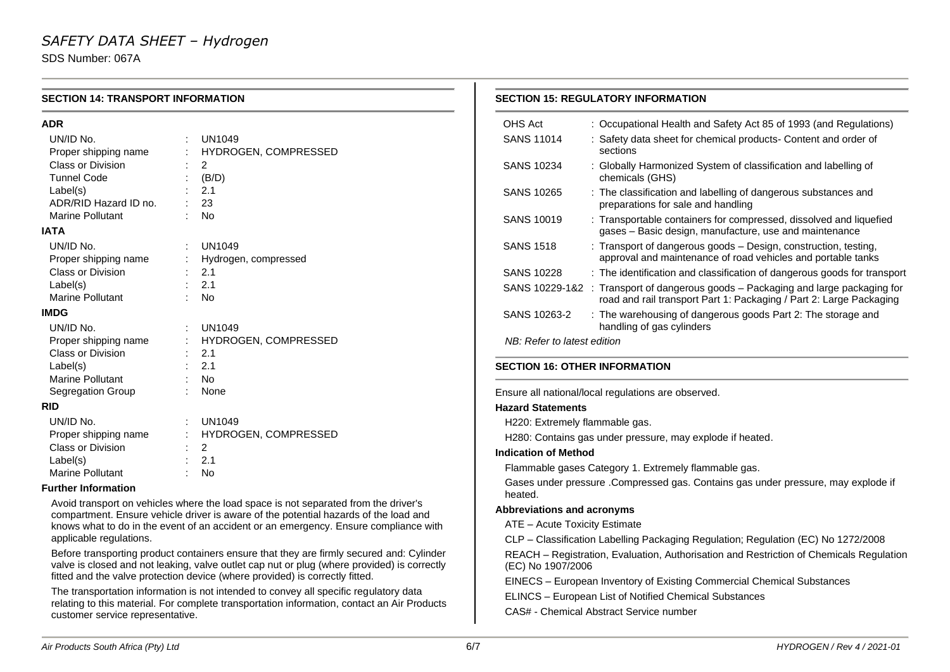SDS Number: 067A

 $\sim$ 

| <b>SECTION 14: TRANSPORT INFORMATION</b> |                                                                                                                                                                                                                                                                         | <b>SECTION 15: REGULATORY INFORMATION</b>                                                         |                                                                                                                                                          |  |  |  |
|------------------------------------------|-------------------------------------------------------------------------------------------------------------------------------------------------------------------------------------------------------------------------------------------------------------------------|---------------------------------------------------------------------------------------------------|----------------------------------------------------------------------------------------------------------------------------------------------------------|--|--|--|
| <b>ADR</b>                               |                                                                                                                                                                                                                                                                         | OHS Act                                                                                           | : Occupational Health and Safety Act 85 of 1993 (and Regulations)                                                                                        |  |  |  |
| UN/ID No.<br>Proper shipping name        | <b>UN1049</b><br>HYDROGEN, COMPRESSED                                                                                                                                                                                                                                   | <b>SANS 11014</b>                                                                                 | : Safety data sheet for chemical products- Content and order of<br>sections                                                                              |  |  |  |
| Class or Division<br><b>Tunnel Code</b>  | $\overline{2}$<br>(B/D)                                                                                                                                                                                                                                                 | <b>SANS 10234</b>                                                                                 | : Globally Harmonized System of classification and labelling of<br>chemicals (GHS)                                                                       |  |  |  |
| Label(s)<br>ADR/RID Hazard ID no.        | 2.1<br>23                                                                                                                                                                                                                                                               | <b>SANS 10265</b>                                                                                 | : The classification and labelling of dangerous substances and<br>preparations for sale and handling                                                     |  |  |  |
| <b>Marine Pollutant</b><br><b>IATA</b>   | $\mathbb{R}^{\mathbb{Z}}$<br>No                                                                                                                                                                                                                                         | <b>SANS 10019</b>                                                                                 | : Transportable containers for compressed, dissolved and liquefied<br>gases - Basic design, manufacture, use and maintenance                             |  |  |  |
| UN/ID No.<br>Proper shipping name        | ÷<br><b>UN1049</b><br>Hydrogen, compressed                                                                                                                                                                                                                              | <b>SANS 1518</b>                                                                                  | : Transport of dangerous goods - Design, construction, testing,<br>approval and maintenance of road vehicles and portable tanks                          |  |  |  |
| Class or Division                        | 2.1                                                                                                                                                                                                                                                                     | <b>SANS 10228</b>                                                                                 | : The identification and classification of dangerous goods for transport                                                                                 |  |  |  |
| Label(s)<br>Marine Pollutant             | 2.1<br>No                                                                                                                                                                                                                                                               |                                                                                                   | SANS 10229-1&2 : Transport of dangerous goods - Packaging and large packaging for<br>road and rail transport Part 1: Packaging / Part 2: Large Packaging |  |  |  |
| <b>IMDG</b>                              |                                                                                                                                                                                                                                                                         | SANS 10263-2                                                                                      | : The warehousing of dangerous goods Part 2: The storage and                                                                                             |  |  |  |
| UN/ID No.                                | <b>UN1049</b>                                                                                                                                                                                                                                                           |                                                                                                   | handling of gas cylinders                                                                                                                                |  |  |  |
| Proper shipping name                     | HYDROGEN, COMPRESSED                                                                                                                                                                                                                                                    | NB: Refer to latest edition                                                                       |                                                                                                                                                          |  |  |  |
| Class or Division                        | 2.1                                                                                                                                                                                                                                                                     |                                                                                                   |                                                                                                                                                          |  |  |  |
| Label(s)                                 | 2.1                                                                                                                                                                                                                                                                     | <b>SECTION 16: OTHER INFORMATION</b>                                                              |                                                                                                                                                          |  |  |  |
| Marine Pollutant                         | <b>No</b><br>None                                                                                                                                                                                                                                                       |                                                                                                   |                                                                                                                                                          |  |  |  |
| Segregation Group                        |                                                                                                                                                                                                                                                                         |                                                                                                   | Ensure all national/local regulations are observed.                                                                                                      |  |  |  |
| <b>RID</b>                               |                                                                                                                                                                                                                                                                         | <b>Hazard Statements</b>                                                                          |                                                                                                                                                          |  |  |  |
| UN/ID No.                                | <b>UN1049</b>                                                                                                                                                                                                                                                           | H220: Extremely flammable gas.                                                                    |                                                                                                                                                          |  |  |  |
| Proper shipping name                     | HYDROGEN, COMPRESSED                                                                                                                                                                                                                                                    | H280: Contains gas under pressure, may explode if heated.                                         |                                                                                                                                                          |  |  |  |
|                                          | $\overline{2}$<br>Class or Division                                                                                                                                                                                                                                     |                                                                                                   | <b>Indication of Method</b>                                                                                                                              |  |  |  |
| Label(s)<br><b>Marine Pollutant</b>      | 2.1<br>No                                                                                                                                                                                                                                                               | Flammable gases Category 1. Extremely flammable gas.                                              |                                                                                                                                                          |  |  |  |
| <b>Further Information</b>               |                                                                                                                                                                                                                                                                         | Gases under pressure .Compressed gas. Contains gas under pressure, may explode if<br>heated.      |                                                                                                                                                          |  |  |  |
|                                          | Avoid transport on vehicles where the load space is not separated from the driver's<br>compartment. Ensure vehicle driver is aware of the potential hazards of the load and                                                                                             | <b>Abbreviations and acronyms</b>                                                                 |                                                                                                                                                          |  |  |  |
|                                          | knows what to do in the event of an accident or an emergency. Ensure compliance with                                                                                                                                                                                    | ATE - Acute Toxicity Estimate                                                                     |                                                                                                                                                          |  |  |  |
| applicable regulations.                  |                                                                                                                                                                                                                                                                         | CLP - Classification Labelling Packaging Regulation; Regulation (EC) No 1272/2008                 |                                                                                                                                                          |  |  |  |
|                                          | Before transporting product containers ensure that they are firmly secured and: Cylinder<br>valve is closed and not leaking, valve outlet cap nut or plug (where provided) is correctly<br>fitted and the valve protection device (where provided) is correctly fitted. | (EC) No 1907/2006                                                                                 | REACH - Registration, Evaluation, Authorisation and Restriction of Chemicals Regulation                                                                  |  |  |  |
|                                          | The transportation information is not intended to convey all specific regulatory data                                                                                                                                                                                   |                                                                                                   | EINECS - European Inventory of Existing Commercial Chemical Substances                                                                                   |  |  |  |
| customer service representative.         | relating to this material. For complete transportation information, contact an Air Products                                                                                                                                                                             | ELINCS - European List of Notified Chemical Substances<br>CAS# - Chemical Abstract Service number |                                                                                                                                                          |  |  |  |

 $\mathbf{1}$